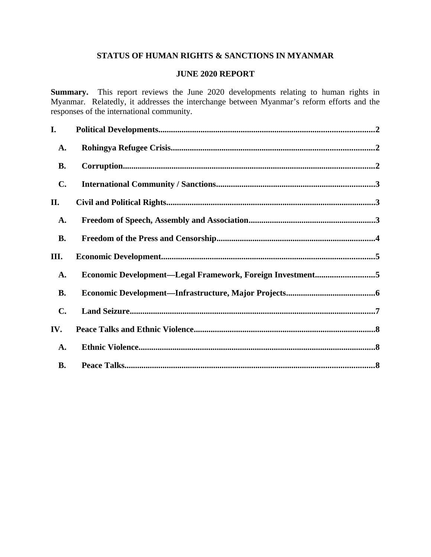## **STATUS OF HUMAN RIGHTS & SANCTIONS IN MYANMAR**

#### **JUNE 2020 REPORT**

**Summary.** This report reviews the June 2020 developments relating to human rights in Myanmar. Relatedly, it addresses the interchange between Myanmar's reform efforts and the responses of the international community.

| I.             |                                                           |  |
|----------------|-----------------------------------------------------------|--|
| A.             |                                                           |  |
| <b>B.</b>      |                                                           |  |
| C.             |                                                           |  |
| II.            |                                                           |  |
| A.             |                                                           |  |
| <b>B.</b>      |                                                           |  |
| III.           |                                                           |  |
| A.             | Economic Development-Legal Framework, Foreign Investment5 |  |
| <b>B.</b>      |                                                           |  |
| $\mathbf{C}$ . |                                                           |  |
| IV.            |                                                           |  |
| <b>A.</b>      |                                                           |  |
| <b>B.</b>      |                                                           |  |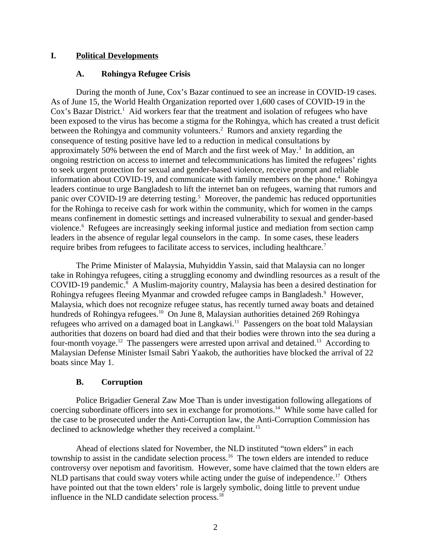### **I. Political Developments**

### <span id="page-1-2"></span><span id="page-1-0"></span>**A. Rohingya Refugee Crisis**

During the month of June, Cox's Bazar continued to see an increase in COVID-19 cases. As of June 15, the World Health Organization reported over 1,600 cases of COVID-19 in the Cox's Bazar District.<sup>1</sup> Aid workers fear that the treatment and isolation of refugees who have been exposed to the virus has become a stigma for the Rohingya, which has created a trust deficit between the Rohingya and community volunteers.<sup>2</sup> Rumors and anxiety regarding the consequence of testing positive have led to a reduction in medical consultations by approximately 50% between the end of March and the first week of May. $3$  In addition, an ongoing restriction on access to internet and telecommunications has limited the refugees' rights to seek urgent protection for sexual and gender-based violence, receive prompt and reliable information about COVID-19, and communicate with family members on the phone.<sup>4</sup> Rohingya leaders continue to urge Bangladesh to lift the internet ban on refugees, warning that rumors and panic over COVID-19 are deterring testing.<sup>5</sup> Moreover, the pandemic has reduced opportunities for the Rohinga to receive cash for work within the community, which for women in the camps means confinement in domestic settings and increased vulnerability to sexual and gender-based violence.<sup>6</sup> Refugees are increasingly seeking informal justice and mediation from section camp leaders in the absence of regular legal counselors in the camp. In some cases, these leaders require bribes from refugees to facilitate access to services, including healthcare.<sup>7</sup>

The Prime Minister of Malaysia, Muhyiddin Yassin, said that Malaysia can no longer take in Rohingya refugees, citing a struggling economy and dwindling resources as a result of the COVID-19 pandemic.<sup>8</sup> A Muslim-majority country, Malaysia has been a desired destination for Rohingya refugees fleeing Myanmar and crowded refugee camps in Bangladesh.<sup>9</sup> However, Malaysia, which does not recognize refugee status, has recently turned away boats and detained hundreds of Rohingya refugees.<sup>10</sup> On June 8, Malaysian authorities detained 269 Rohingya refugees who arrived on a damaged boat in Langkawi.<sup>11</sup> Passengers on the boat told Malaysian authorities that dozens on board had died and that their bodies were thrown into the sea during a four-month voyage.<sup>12</sup> The passengers were arrested upon arrival and detained.<sup>13</sup> According to Malaysian Defense Minister Ismail Sabri Yaakob, the authorities have blocked the arrival of 22 boats since May 1.

## <span id="page-1-1"></span>**B. Corruption**

Police Brigadier General Zaw Moe Than is under investigation following allegations of coercing subordinate officers into sex in exchange for promotions.<sup>14</sup> While some have called for the case to be prosecuted under the Anti-Corruption law, the Anti-Corruption Commission has declined to acknowledge whether they received a complaint.<sup>15</sup>

Ahead of elections slated for November, the NLD instituted "town elders" in each township to assist in the candidate selection process.<sup>16</sup> The town elders are intended to reduce controversy over nepotism and favoritism. However, some have claimed that the town elders are NLD partisans that could sway voters while acting under the guise of independence.<sup>17</sup> Others have pointed out that the town elders' role is largely symbolic, doing little to prevent undue influence in the NLD candidate selection process.<sup>18</sup>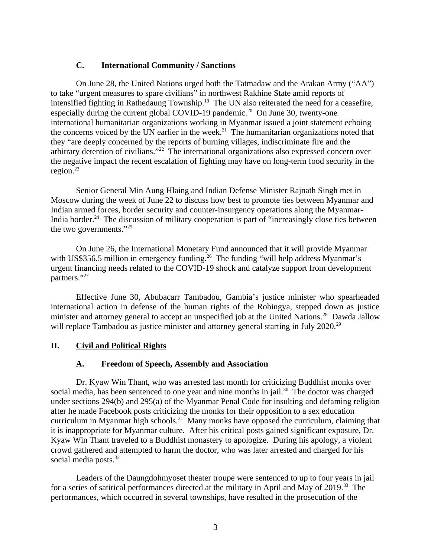### <span id="page-2-2"></span>**C. International Community / Sanctions**

On June 28, the United Nations urged both the Tatmadaw and the Arakan Army ("AA") to take "urgent measures to spare civilians" in northwest Rakhine State amid reports of intensified fighting in Rathedaung Township.<sup>19</sup> The UN also reiterated the need for a ceasefire, especially during the current global COVID-19 pandemic.<sup>20</sup> On June 30, twenty-one international humanitarian organizations working in Myanmar issued a joint statement echoing the concerns voiced by the UN earlier in the week.<sup>21</sup> The humanitarian organizations noted that they "are deeply concerned by the reports of burning villages, indiscriminate fire and the arbitrary detention of civilians."<sup>22</sup> The international organizations also expressed concern over the negative impact the recent escalation of fighting may have on long-term food security in the region. $23$ 

Senior General Min Aung Hlaing and Indian Defense Minister Rajnath Singh met in Moscow during the week of June 22 to discuss how best to promote ties between Myanmar and Indian armed forces, border security and counter-insurgency operations along the Myanmar-India border.<sup>24</sup> The discussion of military cooperation is part of "increasingly close ties between the two governments."<sup>25</sup>

On June 26, the International Monetary Fund announced that it will provide Myanmar with US\$356.5 million in emergency funding.<sup>26</sup> The funding "will help address Myanmar's urgent financing needs related to the COVID-19 shock and catalyze support from development partners."27

Effective June 30, Abubacarr Tambadou, Gambia's justice minister who spearheaded international action in defense of the human rights of the Rohingya, stepped down as justice minister and attorney general to accept an unspecified job at the United Nations.<sup>28</sup> Dawda Jallow will replace Tambadou as justice minister and attorney general starting in July 2020.<sup>29</sup>

## **II. Civil and Political Rights**

## <span id="page-2-1"></span><span id="page-2-0"></span>**A. Freedom of Speech, Assembly and Association**

Dr. Kyaw Win Thant, who was arrested last month for criticizing Buddhist monks over social media, has been sentenced to one year and nine months in jail.<sup>30</sup> The doctor was charged under sections 294(b) and 295(a) of the Myanmar Penal Code for insulting and defaming religion after he made Facebook posts criticizing the monks for their opposition to a sex education curriculum in Myanmar high schools.<sup>31</sup> Many monks have opposed the curriculum, claiming that it is inappropriate for Myanmar culture. After his critical posts gained significant exposure, Dr. Kyaw Win Thant traveled to a Buddhist monastery to apologize. During his apology, a violent crowd gathered and attempted to harm the doctor, who was later arrested and charged for his social media posts.<sup>32</sup>

Leaders of the Daungdohmyoset theater troupe were sentenced to up to four years in jail for a series of satirical performances directed at the military in April and May of 2019.<sup>33</sup> The performances, which occurred in several townships, have resulted in the prosecution of the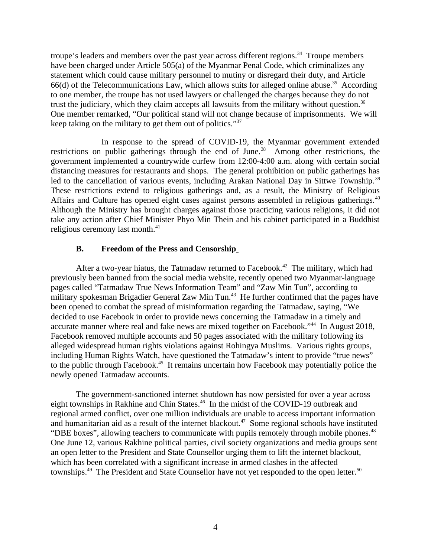troupe's leaders and members over the past year across different regions.<sup>34</sup> Troupe members have been charged under Article 505(a) of the Myanmar Penal Code, which criminalizes any statement which could cause military personnel to mutiny or disregard their duty, and Article  $66(d)$  of the Telecommunications Law, which allows suits for alleged online abuse.<sup>35</sup> According to one member, the troupe has not used lawyers or challenged the charges because they do not trust the judiciary, which they claim accepts all lawsuits from the military without question.<sup>36</sup> One member remarked, "Our political stand will not change because of imprisonments. We will keep taking on the military to get them out of politics."<sup>37</sup>

In response to the spread of COVID-19, the Myanmar government extended restrictions on public gatherings through the end of June.<sup>38</sup> Among other restrictions, the government implemented a countrywide curfew from 12:00-4:00 a.m. along with certain social distancing measures for restaurants and shops. The general prohibition on public gatherings has led to the cancellation of various events, including Arakan National Day in Sittwe Township.<sup>39</sup> These restrictions extend to religious gatherings and, as a result, the Ministry of Religious Affairs and Culture has opened eight cases against persons assembled in religious gatherings.<sup>40</sup> Although the Ministry has brought charges against those practicing various religions, it did not take any action after Chief Minister Phyo Min Thein and his cabinet participated in a Buddhist religious ceremony last month.<sup>41</sup>

### <span id="page-3-0"></span>**B. Freedom of the Press and Censorship**

After a two-year hiatus, the Tatmadaw returned to Facebook.<sup>42</sup> The military, which had previously been banned from the social media website, recently opened two Myanmar-language pages called "Tatmadaw True News Information Team" and "Zaw Min Tun", according to military spokesman Brigadier General Zaw Min Tun.<sup>43</sup> He further confirmed that the pages have been opened to combat the spread of misinformation regarding the Tatmadaw, saying, "We decided to use Facebook in order to provide news concerning the Tatmadaw in a timely and accurate manner where real and fake news are mixed together on Facebook."<sup>44</sup> In August 2018, Facebook removed multiple accounts and 50 pages associated with the military following its alleged widespread human rights violations against Rohingya Muslims. Various rights groups, including Human Rights Watch, have questioned the Tatmadaw's intent to provide "true news" to the public through Facebook.<sup>45</sup> It remains uncertain how Facebook may potentially police the newly opened Tatmadaw accounts.

The government-sanctioned internet shutdown has now persisted for over a year across eight townships in Rakhine and Chin States.<sup>46</sup> In the midst of the COVID-19 outbreak and regional armed conflict, over one million individuals are unable to access important information and humanitarian aid as a result of the internet blackout.<sup>47</sup> Some regional schools have instituted "DBE boxes", allowing teachers to communicate with pupils remotely through mobile phones.<sup>48</sup> One June 12, various Rakhine political parties, civil society organizations and media groups sent an open letter to the President and State Counsellor urging them to lift the internet blackout, which has been correlated with a significant increase in armed clashes in the affected townships.<sup>49</sup> The President and State Counsellor have not yet responded to the open letter.<sup>50</sup>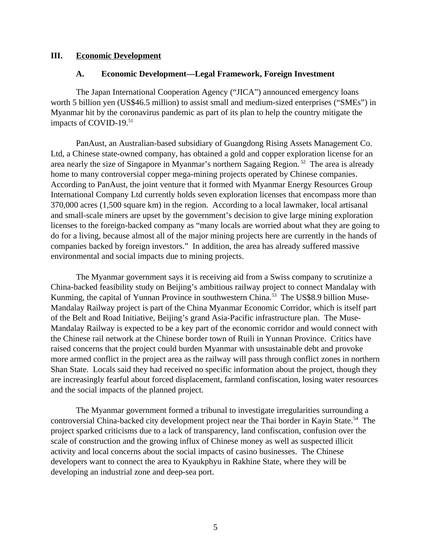#### **III. Economic Development**

#### <span id="page-4-1"></span><span id="page-4-0"></span>**A. Economic Development—Legal Framework, Foreign Investment**

The Japan International Cooperation Agency ("JICA") announced emergency loans worth 5 billion yen (US\$46.5 million) to assist small and medium-sized enterprises ("SMEs") in Myanmar hit by the coronavirus pandemic as part of its plan to help the country mitigate the impacts of COVID-19.<sup>51</sup>

PanAust, an Australian-based subsidiary of Guangdong Rising Assets Management Co. Ltd, a Chinese state-owned company, has obtained a gold and copper exploration license for an area nearly the size of Singapore in Myanmar's northern Sagaing Region.<sup>52</sup> The area is already home to many controversial copper mega-mining projects operated by Chinese companies. According to PanAust, the joint venture that it formed with Myanmar Energy Resources Group International Company Ltd currently holds seven exploration licenses that encompass more than 370,000 acres (1,500 square km) in the region. According to a local lawmaker, local artisanal and small-scale miners are upset by the government's decision to give large mining exploration licenses to the foreign-backed company as "many locals are worried about what they are going to do for a living, because almost all of the major mining projects here are currently in the hands of companies backed by foreign investors." In addition, the area has already suffered massive environmental and social impacts due to mining projects.

The Myanmar government says it is receiving aid from a Swiss company to scrutinize a China-backed feasibility study on Beijing's ambitious railway project to connect Mandalay with Kunming, the capital of Yunnan Province in southwestern China.<sup>53</sup> The US\$8.9 billion Muse-Mandalay Railway project is part of the China Myanmar Economic Corridor, which is itself part of the Belt and Road Initiative, Beijing's grand Asia-Pacific infrastructure plan. The Muse-Mandalay Railway is expected to be a key part of the economic corridor and would connect with the Chinese rail network at the Chinese border town of Ruili in Yunnan Province. Critics have raised concerns that the project could burden Myanmar with unsustainable debt and provoke more armed conflict in the project area as the railway will pass through conflict zones in northern Shan State. Locals said they had received no specific information about the project, though they are increasingly fearful about forced displacement, farmland confiscation, losing water resources and the social impacts of the planned project.

The Myanmar government formed a tribunal to investigate irregularities surrounding a controversial China-backed city development project near the Thai border in Kayin State.<sup>54</sup> The project sparked criticisms due to a lack of transparency, land confiscation, confusion over the scale of construction and the growing influx of Chinese money as well as suspected illicit activity and local concerns about the social impacts of casino businesses. The Chinese developers want to connect the area to Kyaukphyu in Rakhine State, where they will be developing an industrial zone and deep-sea port.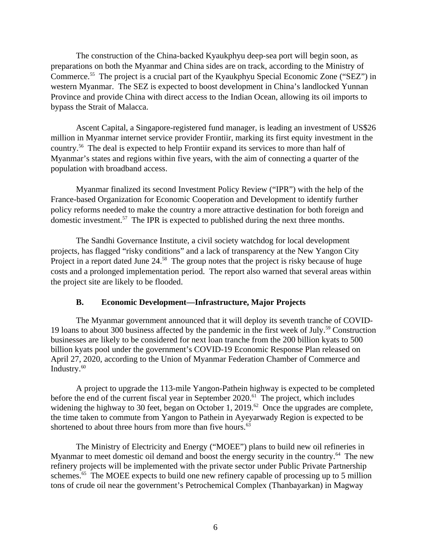The construction of the China-backed Kyaukphyu deep-sea port will begin soon, as preparations on both the Myanmar and China sides are on track, according to the Ministry of Commerce.<sup>55</sup> The project is a crucial part of the Kyaukphyu Special Economic Zone ("SEZ") in western Myanmar. The SEZ is expected to boost development in China's landlocked Yunnan Province and provide China with direct access to the Indian Ocean, allowing its oil imports to bypass the Strait of Malacca.

Ascent Capital, a Singapore-registered fund manager, is leading an investment of US\$26 million in Myanmar internet service provider Frontiir, marking its first equity investment in the country.<sup>56</sup> The deal is expected to help Frontiir expand its services to more than half of Myanmar's states and regions within five years, with the aim of connecting a quarter of the population with broadband access.

Myanmar finalized its second Investment Policy Review ("IPR") with the help of the France-based Organization for Economic Cooperation and Development to identify further policy reforms needed to make the country a more attractive destination for both foreign and domestic investment.<sup>57</sup> The IPR is expected to published during the next three months.

The Sandhi Governance Institute, a civil society watchdog for local development projects, has flagged "risky conditions" and a lack of transparency at the New Yangon City Project in a report dated June 24.<sup>58</sup> The group notes that the project is risky because of huge costs and a prolonged implementation period. The report also warned that several areas within the project site are likely to be flooded.

#### <span id="page-5-0"></span>**B. Economic Development—Infrastructure, Major Projects**

The Myanmar government announced that it will deploy its seventh tranche of COVID-19 loans to about 300 business affected by the pandemic in the first week of July.<sup>59</sup> Construction businesses are likely to be considered for next loan tranche from the 200 billion kyats to 500 billion kyats pool under the government's COVID-19 Economic Response Plan released on April 27, 2020, according to the Union of Myanmar Federation Chamber of Commerce and Industry.<sup>60</sup>

A project to upgrade the 113-mile Yangon-Pathein highway is expected to be completed before the end of the current fiscal year in September 2020.<sup>61</sup> The project, which includes widening the highway to 30 feet, began on October 1, 2019.<sup>62</sup> Once the upgrades are complete, the time taken to commute from Yangon to Pathein in Ayeyarwady Region is expected to be shortened to about three hours from more than five hours.<sup>63</sup>

The Ministry of Electricity and Energy ("MOEE") plans to build new oil refineries in Myanmar to meet domestic oil demand and boost the energy security in the country.<sup>64</sup> The new refinery projects will be implemented with the private sector under Public Private Partnership schemes.<sup>65</sup> The MOEE expects to build one new refinery capable of processing up to 5 million tons of crude oil near the government's Petrochemical Complex (Thanbayarkan) in Magway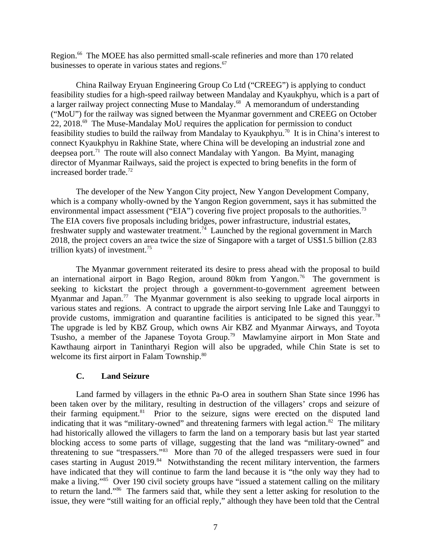Region.<sup>66</sup> The MOEE has also permitted small-scale refineries and more than 170 related businesses to operate in various states and regions.<sup>67</sup>

China Railway Eryuan Engineering Group Co Ltd ("CREEG") is applying to conduct feasibility studies for a high-speed railway between Mandalay and Kyaukphyu, which is a part of a larger railway project connecting Muse to Mandalay.<sup>68</sup> A memorandum of understanding ("MoU") for the railway was signed between the Myanmar government and CREEG on October 22, 2018. $^{69}$  The Muse-Mandalay MoU requires the application for permission to conduct feasibility studies to build the railway from Mandalay to Kyaukphyu.<sup>70</sup> It is in China's interest to connect Kyaukphyu in Rakhine State, where China will be developing an industrial zone and deepsea port.<sup>71</sup> The route will also connect Mandalay with Yangon. Ba Myint, managing director of Myanmar Railways, said the project is expected to bring benefits in the form of increased border trade.<sup>72</sup>

The developer of the New Yangon City project, New Yangon Development Company, which is a company wholly-owned by the Yangon Region government, says it has submitted the environmental impact assessment ("EIA") covering five project proposals to the authorities.<sup>73</sup> The EIA covers five proposals including bridges, power infrastructure, industrial estates, freshwater supply and wastewater treatment.<sup>74</sup> Launched by the regional government in March 2018, the project covers an area twice the size of Singapore with a target of US\$1.5 billion (2.83 trillion kyats) of investment.<sup>75</sup>

The Myanmar government reiterated its desire to press ahead with the proposal to build an international airport in Bago Region, around  $80 \text{km}$  from Yangon.<sup>76</sup> The government is seeking to kickstart the project through a government-to-government agreement between Myanmar and Japan.<sup>77</sup> The Myanmar government is also seeking to upgrade local airports in various states and regions. A contract to upgrade the airport serving Inle Lake and Taunggyi to provide customs, immigration and quarantine facilities is anticipated to be signed this year.<sup>78</sup> The upgrade is led by KBZ Group, which owns Air KBZ and Myanmar Airways, and Toyota Tsusho, a member of the Japanese Toyota Group.<sup>79</sup> Mawlamyine airport in Mon State and Kawthaung airport in Tanintharyi Region will also be upgraded, while Chin State is set to welcome its first airport in Falam Township.<sup>80</sup>

## <span id="page-6-0"></span>**C. Land Seizure**

Land farmed by villagers in the ethnic Pa-O area in southern Shan State since 1996 has been taken over by the military, resulting in destruction of the villagers' crops and seizure of their farming equipment. $81$  Prior to the seizure, signs were erected on the disputed land indicating that it was "military-owned" and threatening farmers with legal action. $82$  The military had historically allowed the villagers to farm the land on a temporary basis but last year started blocking access to some parts of village, suggesting that the land was "military-owned" and threatening to sue "trespassers."<sup>83</sup> More than 70 of the alleged trespassers were sued in four cases starting in August  $2019<sup>84</sup>$  Notwithstanding the recent military intervention, the farmers have indicated that they will continue to farm the land because it is "the only way they had to make a living."<sup>85</sup> Over 190 civil society groups have "issued a statement calling on the military to return the land."<sup>86</sup> The farmers said that, while they sent a letter asking for resolution to the issue, they were "still waiting for an official reply," although they have been told that the Central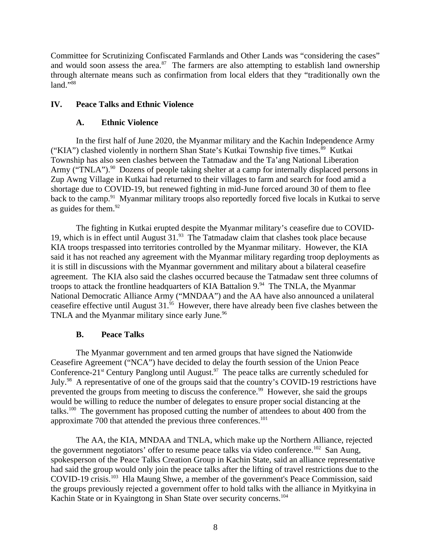Committee for Scrutinizing Confiscated Farmlands and Other Lands was "considering the cases" and would soon assess the area. $87$  The farmers are also attempting to establish land ownership through alternate means such as confirmation from local elders that they "traditionally own the land."88

# **IV. Peace Talks and Ethnic Violence**

## <span id="page-7-2"></span><span id="page-7-1"></span>**A. Ethnic Violence**

In the first half of June 2020, the Myanmar military and the Kachin Independence Army ("KIA") clashed violently in northern Shan State's Kutkai Township five times. $89$  Kutkai Township has also seen clashes between the Tatmadaw and the Ta'ang National Liberation Army ("TNLA").<sup>90</sup> Dozens of people taking shelter at a camp for internally displaced persons in Zup Awng Village in Kutkai had returned to their villages to farm and search for food amid a shortage due to COVID-19, but renewed fighting in mid-June forced around 30 of them to flee back to the camp.<sup>91</sup> Myanmar military troops also reportedly forced five locals in Kutkai to serve as guides for them. $92$ 

The fighting in Kutkai erupted despite the Myanmar military's ceasefire due to COVID-19, which is in effect until August 31.<sup>93</sup> The Tatmadaw claim that clashes took place because KIA troops trespassed into territories controlled by the Myanmar military. However, the KIA said it has not reached any agreement with the Myanmar military regarding troop deployments as it is still in discussions with the Myanmar government and military about a bilateral ceasefire agreement. The KIA also said the clashes occurred because the Tatmadaw sent three columns of troops to attack the frontline headquarters of KIA Battalion  $9.^{94}$  The TNLA, the Myanmar National Democratic Alliance Army ("MNDAA") and the AA have also announced a unilateral ceasefire effective until August  $31.^{95}$  However, there have already been five clashes between the TNLA and the Myanmar military since early June.<sup>96</sup>

## <span id="page-7-0"></span>**B. Peace Talks**

The Myanmar government and ten armed groups that have signed the Nationwide Ceasefire Agreement ("NCA") have decided to delay the fourth session of the Union Peace Conference-21 $\mathrm{st}$  Century Panglong until August.<sup>97</sup> The peace talks are currently scheduled for July.<sup>98</sup> A representative of one of the groups said that the country's COVID-19 restrictions have prevented the groups from meeting to discuss the conference.<sup>99</sup> However, she said the groups would be willing to reduce the number of delegates to ensure proper social distancing at the talks.<sup>100</sup> The government has proposed cutting the number of attendees to about 400 from the approximate 700 that attended the previous three conferences. $101$ 

The AA, the KIA, MNDAA and TNLA, which make up the Northern Alliance, rejected the government negotiators' offer to resume peace talks via video conference.<sup>102</sup> San Aung, spokesperson of the Peace Talks Creation Group in Kachin State, said an alliance representative had said the group would only join the peace talks after the lifting of travel restrictions due to the COVID-19 crisis.<sup>103</sup> Hla Maung Shwe, a member of the government's Peace Commission, said the groups previously rejected a government offer to hold talks with the alliance in Myitkyina in Kachin State or in Kyaingtong in Shan State over security concerns.<sup>104</sup>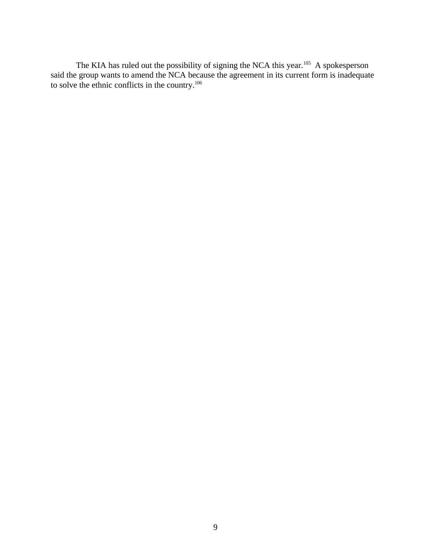The KIA has ruled out the possibility of signing the NCA this year.<sup>105</sup> A spokesperson said the group wants to amend the NCA because the agreement in its current form is inadequate to solve the ethnic conflicts in the country.<sup>106</sup>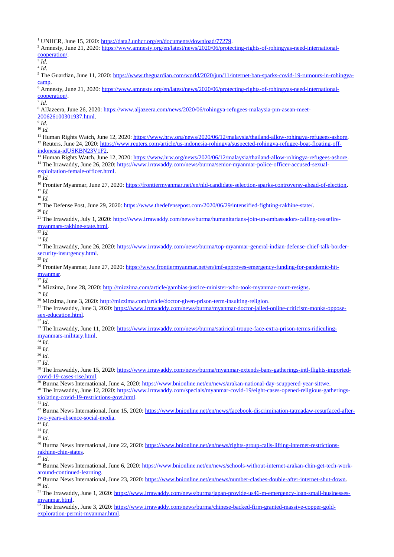<sup>1</sup> UNHCR, June 15, 2020: [https://data2.unhcr.org/en/documents/download/77279.](https://data2.unhcr.org/en/documents/download/77279)

- <sup>2</sup> Amnesty, June 21, 2020: [https://www.amnesty.org/en/latest/news/2020/06/protecting-rights-of-rohingyas-need-international](https://www.amnesty.org/en/latest/news/2020/06/protecting-rights-of-rohingyas-need-international-cooperation/)[cooperation/.](https://www.amnesty.org/en/latest/news/2020/06/protecting-rights-of-rohingyas-need-international-cooperation/)
- 3 *Id*.
- 4 *Id*.

<sup>5</sup> The Guardian, June 11, 2020: [https://www.theguardian.com/world/2020/jun/11/internet-ban-sparks-covid-19-rumours-in-rohingya](https://www.theguardian.com/world/2020/jun/11/internet-ban-sparks-covid-19-rumours-in-rohingya-camp)[camp.](https://www.theguardian.com/world/2020/jun/11/internet-ban-sparks-covid-19-rumours-in-rohingya-camp)

<sup>6</sup> Amnesty, June 21, 2020: [https://www.amnesty.org/en/latest/news/2020/06/protecting-rights-of-rohingyas-need-international](https://www.amnesty.org/en/latest/news/2020/06/protecting-rights-of-rohingyas-need-international-cooperation/)[cooperation/.](https://www.amnesty.org/en/latest/news/2020/06/protecting-rights-of-rohingyas-need-international-cooperation/)

7 *Id.*

<sup>8</sup> AlJazeera, June 26, 2020: [https://www.aljazeera.com/news/2020/06/rohingya-refugees-malaysia-pm-asean-meet-](https://www.aljazeera.com/news/2020/06/rohingya-refugees-malaysia-pm-asean-meet-200626100301937.html)

[200626100301937.html.](https://www.aljazeera.com/news/2020/06/rohingya-refugees-malaysia-pm-asean-meet-200626100301937.html)

9 *Id*.

<sup>10</sup> *Id.*

<sup>11</sup> Human Rights Watch, June 12, 2020: [https://www.hrw.org/news/2020/06/12/malaysia/thailand-allow-rohingya-refugees-ashore.](https://www.hrw.org/news/2020/06/12/malaysia/thailand-allow-rohingya-refugees-ashore) <sup>12</sup> Reuters. June 24, 2020: [https://www.reuters.com/article/us-indonesia-rohingya/suspected-rohingya-refugee-boat-floating-off](https://www.reuters.com/article/us-indonesia-rohingya/suspected-rohingya-refugee-boat-floating-off-indonesia-idUSKBN23V1F2)[indonesia-idUSKBN23V1F2.](https://www.reuters.com/article/us-indonesia-rohingya/suspected-rohingya-refugee-boat-floating-off-indonesia-idUSKBN23V1F2)

<sup>13</sup> Human Rights Watch, June 12, 2020: [https://www.hrw.org/news/2020/06/12/malaysia/thailand-allow-rohingya-refugees-ashore.](https://www.hrw.org/news/2020/06/12/malaysia/thailand-allow-rohingya-refugees-ashore) <sup>14</sup> The Irrawaddy, June 26, 2020: [https://www.irrawaddy.com/news/burma/senior-myanmar-police-officer-accused-sexual](https://www.irrawaddy.com/news/burma/senior-myanmar-police-officer-accused-sexual-exploitation-female-officer.html)[exploitation-female-officer.html.](https://www.irrawaddy.com/news/burma/senior-myanmar-police-officer-accused-sexual-exploitation-female-officer.html)

 $\overline{\phantom{a}^{15}Id}$ .

<sup>16</sup> Frontier Myanmar, June 27, 2020: [https://frontiermyanmar.net/en/nld-candidate-selection-sparks-controversy-ahead-of-election.](https://frontiermyanmar.net/en/nld-candidate-selection-sparks-controversy-ahead-of-election) <sup>17</sup> *Id.*

<sup>18</sup> *Id.*

<sup>19</sup> The Defense Post, June 29, 2020: [https://www.thedefensepost.com/2020/06/29/intensified-fighting-rakhine-state/.](https://www.thedefensepost.com/2020/06/29/intensified-fighting-rakhine-state/)

<sup>20</sup> *Id.*

<sup>21</sup> The Irrawaddy, July 1, 2020: [https://www.irrawaddy.com/news/burma/humanitarians-join-un-ambassadors-calling-ceasefire](https://www.irrawaddy.com/news/burma/humanitarians-join-un-ambassadors-calling-ceasefire-myanmars-rakhine-state.html)[myanmars-rakhine-state.html.](https://www.irrawaddy.com/news/burma/humanitarians-join-un-ambassadors-calling-ceasefire-myanmars-rakhine-state.html)

 $\overline{^{22}}$ *Id.* 

<sup>23</sup> *Id.*

<sup>24</sup> The Irrawaddy, June 26, 2020: [https://www.irrawaddy.com/news/burma/top-myanmar-general-indian-defense-chief-talk-border](https://www.irrawaddy.com/news/burma/top-myanmar-general-indian-defense-chief-talk-border-security-insurgency.html)[security-insurgency.html.](https://www.irrawaddy.com/news/burma/top-myanmar-general-indian-defense-chief-talk-border-security-insurgency.html)

 $^{25}$  *Id.* 

<sup>26</sup> Frontier Myanmar, June 27, 2020: [https://www.frontiermyanmar.net/en/imf-approves-emergency-funding-for-pandemic-hit](https://www.frontiermyanmar.net/en/imf-approves-emergency-funding-for-pandemic-hit-myanmar)[myanmar.](https://www.frontiermyanmar.net/en/imf-approves-emergency-funding-for-pandemic-hit-myanmar)

 $^{27}$  *Id.* 

<sup>28</sup> Mizzima, June 28, 2020: [http://mizzima.com/article/gambias-justice-minister-who-took-myanmar-court-resigns.](http://mizzima.com/article/gambias-justice-minister-who-took-myanmar-court-resigns)

<sup>29</sup> *Id.*

<sup>30</sup> Mizzima, June 3, 2020: <u>http://mizzima.com/article/doctor-given-prison-term-insulting-religion</u>.

<sup>31</sup> The Irrawaddy, June 3, 2020: [https://www.irrawaddy.com/news/burma/myanmar-doctor-jailed-online-criticism-monks-oppose](https://www.irrawaddy.com/news/burma/myanmar-doctor-jailed-online-criticism-monks-oppose-sex-education.html)[sex-education.html.](https://www.irrawaddy.com/news/burma/myanmar-doctor-jailed-online-criticism-monks-oppose-sex-education.html)

 $\overline{\frac{32}{}}$  *Id.* 

33 The Irrawaddy, June 11, 2020: [https://www.irrawaddy.com/news/burma/satirical-troupe-face-extra-prison-terms-ridiculing](https://www.irrawaddy.com/news/burma/satirical-troupe-face-extra-prison-terms-ridiculing-myanmars-military.html)[myanmars-military.html.](https://www.irrawaddy.com/news/burma/satirical-troupe-face-extra-prison-terms-ridiculing-myanmars-military.html)

 $34$  *Id.* 

<sup>35</sup> *Id*.

<sup>36</sup> *Id*.

<sup>37</sup> *Id*.

<sup>38</sup> The Irrawaddy, June 15, 2020: [https://www.irrawaddy.com/news/burma/myanmar-extends-bans-gatherings-intl-flights-imported](https://www.irrawaddy.com/news/burma/myanmar-extends-bans-gatherings-intl-flights-imported-covid-19-cases-rise.html)[covid-19-cases-rise.html.](https://www.irrawaddy.com/news/burma/myanmar-extends-bans-gatherings-intl-flights-imported-covid-19-cases-rise.html)

<sup>39</sup> Burma News International, June 4, 2020: [https://www.bnionline.net/en/news/arakan-national-day-scuppered-year-sittwe.](https://www.bnionline.net/en/news/arakan-national-day-scuppered-year-sittwe)

<sup>40</sup> The Irrawaddy, June 12, 2020: [https://www.irrawaddy.com/specials/myanmar-covid-19/eight-cases-opened-religious-gatherings](https://www.irrawaddy.com/specials/myanmar-covid-19/eight-cases-opened-religious-gatherings-violating-covid-19-restrictions-govt.html)[violating-covid-19-restrictions-govt.html.](https://www.irrawaddy.com/specials/myanmar-covid-19/eight-cases-opened-religious-gatherings-violating-covid-19-restrictions-govt.html)

 $\overline{41}$  *Id.* 

<sup>42</sup> Burma News International, June 15, 2020: [https://www.bnionline.net/en/news/facebook-discrimination-tatmadaw-resurfaced-after](https://www.bnionline.net/en/news/facebook-discrimination-tatmadaw-resurfaced-after-two-years-absence-social-media)[two-years-absence-social-media.](https://www.bnionline.net/en/news/facebook-discrimination-tatmadaw-resurfaced-after-two-years-absence-social-media)

 $\overline{43}$  *Id.* 

<sup>44</sup> *Id*.

<sup>45</sup> *Id*.

<sup>46</sup> Burma News International, June 22, 2020: [https://www.bnionline.net/en/news/rights-group-calls-lifting-internet-restrictions](https://www.bnionline.net/en/news/rights-group-calls-lifting-internet-restrictions-rakhine-chin-states)[rakhine-chin-states.](https://www.bnionline.net/en/news/rights-group-calls-lifting-internet-restrictions-rakhine-chin-states)

<sup>47</sup> *Id*.

<sup>48</sup> Burma News International, June 6, 2020: [https://www.bnionline.net/en/news/schools-without-internet-arakan-chin-get-tech-work](https://www.bnionline.net/en/news/schools-without-internet-arakan-chin-get-tech-work-around-continued-learning)[around-continued-learning.](https://www.bnionline.net/en/news/schools-without-internet-arakan-chin-get-tech-work-around-continued-learning)

<sup>49</sup> Burma News International, June 23, 2020: [https://www.bnionline.net/en/news/number-clashes-double-after-internet-shut-down.](https://www.bnionline.net/en/news/number-clashes-double-after-internet-shut-down) <sup>50</sup> *Id*.

51 The Irrawaddy, June 1, 2020: [https://www.irrawaddy.com/news/burma/japan-provide-us46-m-emergency-loan-small-businesses](https://www.irrawaddy.com/news/burma/japan-provide-us46-m-emergency-loan-small-businesses-myanmar.html)[myanmar.html.](https://www.irrawaddy.com/news/burma/japan-provide-us46-m-emergency-loan-small-businesses-myanmar.html)

<sup>52</sup> The Irrawaddy, June 3, 2020: [https://www.irrawaddy.com/news/burma/chinese-backed-firm-granted-massive-copper-gold](https://www.irrawaddy.com/news/burma/chinese-backed-firm-granted-massive-copper-gold-exploration-permit-myanmar.html)[exploration-permit-myanmar.html.](https://www.irrawaddy.com/news/burma/chinese-backed-firm-granted-massive-copper-gold-exploration-permit-myanmar.html)